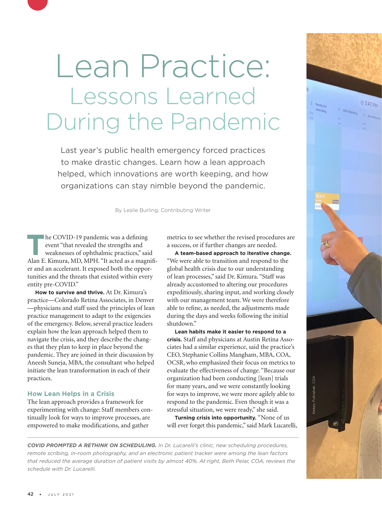# Lean Practice: Lessons Learned During the Pandemic

Last year's public health emergency forced practices to make drastic changes. Learn how a lean approach helped, which innovations are worth keeping, and how organizations can stay nimble beyond the pandemic.

By Leslie Burling, Contributing Writer

**THE COVID-19 pandemic was a defining<br>
event "that revealed the strengths and<br>
weaknesses of ophthalmic practices," said<br>
Alan E Kimura MD MPH "It acted as a magnit** event "that revealed the strengths and Alan E. Kimura, MD, MPH. "It acted as a magnifier and an accelerant. It exposed both the opportunities and the threats that existed within every entity pre-COVID."

**How to survive and thrive.** At Dr. Kimura's practice—Colorado Retina Associates, in Denver —physicians and staff used the principles of lean practice management to adapt to the exigencies of the emergency. Below, several practice leaders explain how the lean approach helped them to navigate the crisis, and they describe the changes that they plan to keep in place beyond the pandemic. They are joined in their discussion by Aneesh Suneja, MBA, the consultant who helped initiate the lean transformation in each of their practices.

#### **How Lean Helps in a Crisis**

The lean approach provides a framework for experimenting with change: Staff members continually look for ways to improve processes, are empowered to make modifications, and gather

metrics to see whether the revised procedures are a success, or if further changes are needed.

**A team-based approach to iterative change.**  "We were able to transition and respond to the global health crisis due to our understanding of lean processes," said Dr. Kimura. "Staff was already accustomed to altering our procedures expeditiously, sharing input, and working closely with our management team. We were therefore able to refine, as needed, the adjustments made during the days and weeks following the initial shutdown."

**Lean habits make it easier to respond to a crisis.** Staff and physicians at Austin Retina Associates had a similar experience, said the practice's CEO, Stephanie Collins Mangham, MBA, COA, OCSR, who emphasized their focus on metrics to evaluate the effectiveness of change. "Because our organization had been conducting [lean] trials for many years, and we were constantly looking for ways to improve, we were more agilely able to respond to the pandemic. Even though it was a stressful situation, we were ready," she said.

**Turning crisis into opportunity.** "None of us will ever forget this pandemic," said Mark Lucarelli,

*COVID PROMPTED A RETHINK ON SCHEDULING. In Dr. Lucarelli's clinic, new scheduling procedures, remote scribing, in-room photography, and an electronic patient tracker were among the lean factors that reduced the average duration of patient visits by almost 40%. At right, Beth Pelar, COA, reviews the schedule with Dr. Lucarelli.*

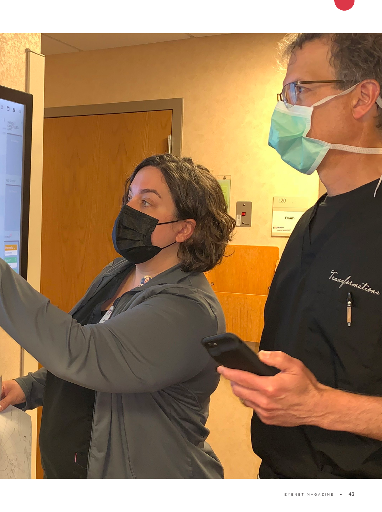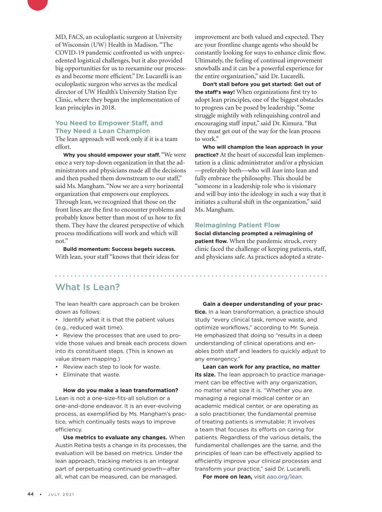MD, FACS, an oculoplastic surgeon at University of Wisconsin (UW) Health in Madison. "The COVID-19 pandemic confronted us with unprecedented logistical challenges, but it also provided big opportunities for us to reexamine our processes and become more efficient." Dr. Lucarelli is an oculoplastic surgeon who serves as the medical director of UW Health's University Station Eye Clinic, where they began the implementation of lean principles in 2018.

## **You Need to Empower Staff, and They Need a Lean Champion**

The lean approach will work only if it is a team effort.

**Why you should empower your staff.** "We were once a very top-down organization in that the administrators and physicians made all the decisions and then pushed them downstream to our staff," said Ms. Mangham. "Now we are a very horizontal organization that empowers our employees. Through lean, we recognized that those on the front lines are the first to encounter problems and probably know better than most of us how to fix them. They have the clearest perspective of which process modifications will work and which will not."

**Build momentum: Success begets success.**  With lean, your staff "knows that their ideas for improvement are both valued and expected. They are your frontline change agents who should be constantly looking for ways to enhance clinic flow. Ultimately, the feeling of continual improvement snowballs and it can be a powerful experience for the entire organization," said Dr. Lucarelli.

**Don't stall before you get started: Get out of the staff's way!** When organizations first try to adopt lean principles, one of the biggest obstacles to progress can be posed by leadership. "Some struggle mightily with relinquishing control and encouraging staff input," said Dr. Kimura. "But they must get out of the way for the lean process to work."

**Who will champion the lean approach in your practice?** At the heart of successful lean implementation is a clinic administrator and/or a physician —preferably both—who will *lean* into lean and fully embrace the philosophy. This should be "someone in a leadership role who is visionary and will buy into the ideology in such a way that it initiates a cultural shift in the organization," said Ms. Mangham.

#### **Reimagining Patient Flow**

**Social distancing prompted a reimagining of patient flow.** When the pandemic struck, every clinic faced the challenge of keeping patients, staff, and physicians safe. As practices adopted a strate-

# What Is Lean?

The lean health care approach can be broken down as follows:

- Identify what it is that the patient values
- (e.g., reduced wait time).

• Review the processes that are used to provide those values and break each process down into its constituent steps. (This is known as value stream mapping.)

- Review each step to look for waste.
- Eliminate that waste.

#### **How do you make a lean transformation?**

Lean is not a one-size-fits-all solution or a one-and-done endeavor. It is an ever-evolving process, as exemplified by Ms. Mangham's practice, which continually tests ways to improve efficiency.

**Use metrics to evaluate any changes.** When Austin Retina tests a change in its processes, the evaluation will be based on metrics. Under the lean approach, tracking metrics is an integral part of perpetuating continued growth—after all, what can be measured, can be managed.

**Gain a deeper understanding of your practice.** In a lean transformation, a practice should study "every clinical task, remove waste, and optimize workflows," according to Mr. Suneja. He emphasized that doing so "results in a deep understanding of clinical operations and enables both staff and leaders to quickly adjust to any emergency."

**Lean can work for any practice, no matter its size.** The lean approach to practice management can be effective with any organization, no matter what size it is. "Whether you are managing a regional medical center or an academic medical center, or are operating as a solo practitioner, the fundamental premise of treating patients is immutable: It involves a team that focuses its efforts on caring for patients. Regardless of the various details, the fundamental challenges are the same, and the principles of lean can be effectively applied to efficiently improve your clinical processes and transform your practice," said Dr. Lucarelli.

**For more on lean,** visit aao.org/lean.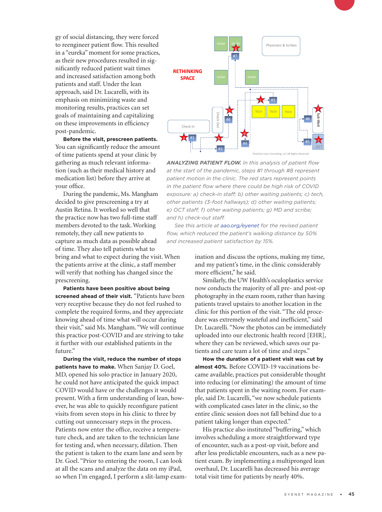gy of social distancing, they were forced to reengineer patient flow. This resulted in a "eureka" moment for some practices, as their new procedures resulted in significantly reduced patient wait times and increased satisfaction among both patients and staff. Under the lean approach, said Dr. Lucarelli, with its emphasis on minimizing waste and monitoring results, practices can set goals of maintaining and capitalizing on these improvements in efficiency post-pandemic.

**Before the visit, prescreen patients.**  You can significantly reduce the amount of time patients spend at your clinic by gathering as much relevant information (such as their medical history and medication list) before they arrive at your office.

During the pandemic, Ms. Mangham decided to give prescreening a try at Austin Retina. It worked so well that the practice now has two full-time staff members devoted to the task. Working remotely, they call new patients to capture as much data as possible ahead of time. They also tell patients what to

bring and what to expect during the visit. When the patients arrive at the clinic, a staff member will verify that nothing has changed since the prescreening.

**Patients have been positive about being screened ahead of their visit.** "Patients have been very receptive because they do not feel rushed to complete the required forms, and they appreciate knowing ahead of time what will occur during their visit," said Ms. Mangham. "We will continue this practice post-COVID and are striving to take it further with our established patients in the future."

**During the visit, reduce the number of stops patients have to make.** When Sanjay D. Goel, MD, opened his solo practice in January 2020, he could not have anticipated the quick impact COVID would have or the challenges it would present. With a firm understanding of lean, however, he was able to quickly reconfigure patient visits from seven stops in his clinic to three by cutting out unnecessary steps in the process. Patients now enter the office, receive a temperature check, and are taken to the technician lane for testing and, when necessary, dilation. Then the patient is taken to the exam lane and seen by Dr. Goel. "Prior to entering the room, I can look at all the scans and analyze the data on my iPad, so when I'm engaged, I perform a slit-lamp exam-



FlowOne Lean Consulting, LLC All Rights Reserved

*ANALYZING PATIENT FLOW. In this analysis of patient flow at the start of the pandemic, steps #1 through #8 represent patient motion in the clinic. The red stars represent points in the patient flow where there could be high risk of COVID exposure: a) check-in staff; b) other waiting patients; c) tech, other patients (3-foot hallways); d) other waiting patients; e) OCT staff; f) other waiting patients; g) MD and scribe; and h) check-out staff.* 

*See this article at aao.org/eyenet for the revised patient flow, which reduced the patient's walking distance by 50% and increased patient satisfaction by 15%.*

> ination and discuss the options, making my time, and my patient's time, in the clinic considerably more efficient," he said.

> Similarly, the UW Health's oculoplastics service now conducts the majority of all pre- and post-op photography in the exam room, rather than having patients travel upstairs to another location in the clinic for this portion of the visit. "The old procedure was extremely wasteful and inefficient," said Dr. Lucarelli. "Now the photos can be immediately uploaded into our electronic health record [EHR], where they can be reviewed, which saves our patients and care team a lot of time and steps."

> **How the duration of a patient visit was cut by almost 40%.** Before COVID-19 vaccinations became available, practices put considerable thought into reducing (or eliminating) the amount of time that patients spent in the waiting room. For example, said Dr. Lucarelli, "we now schedule patients with complicated cases later in the clinic, so the entire clinic session does not fall behind due to a patient taking longer than expected."

> His practice also instituted "buffering," which involves scheduling a more straightforward type of encounter, such as a post-op visit, before and after less predictable encounters, such as a new patient exam. By implementing a multipronged lean overhaul, Dr. Lucarelli has decreased his average total visit time for patients by nearly 40%.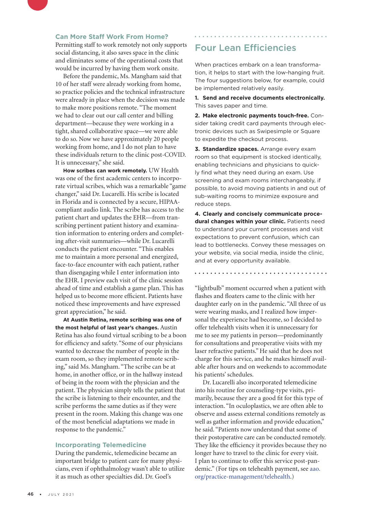## **Can More Staff Work From Home?**

Permitting staff to work remotely not only supports social distancing, it also saves space in the clinic and eliminates some of the operational costs that would be incurred by having them work onsite.

Before the pandemic, Ms. Mangham said that 10 of her staff were already working from home, so practice policies and the technical infrastructure were already in place when the decision was made to make more positions remote. "The moment we had to clear out our call center and billing department—because they were working in a tight, shared collaborative space—we were able to do so. Now we have approximately 20 people working from home, and I do not plan to have these individuals return to the clinic post-COVID. It is unnecessary," she said.

**How scribes can work remotely.** UW Health was one of the first academic centers to incorporate virtual scribes, which was a remarkable "game changer," said Dr. Lucarelli. His scribe is located in Florida and is connected by a secure, HIPAAcompliant audio link. The scribe has access to the patient chart and updates the EHR—from transcribing pertinent patient history and examination information to entering orders and completing after-visit summaries—while Dr. Lucarelli conducts the patient encounter. "This enables me to maintain a more personal and energized, face-to-face encounter with each patient, rather than disengaging while I enter information into the EHR. I preview each visit of the clinic session ahead of time and establish a game plan. This has helped us to become more efficient. Patients have noticed these improvements and have expressed great appreciation," he said.

**At Austin Retina, remote scribing was one of the most helpful of last year's changes.** Austin Retina has also found virtual scribing to be a boon for efficiency and safety. "Some of our physicians wanted to decrease the number of people in the exam room, so they implemented remote scribing," said Ms. Mangham. "The scribe can be at home, in another office, or in the hallway instead of being in the room with the physician and the patient. The physician simply tells the patient that the scribe is listening to their encounter, and the scribe performs the same duties as if they were present in the room. Making this change was one of the most beneficial adaptations we made in response to the pandemic."

#### **Incorporating Telemedicine**

During the pandemic, telemedicine became an important bridge to patient care for many physicians, even if ophthalmology wasn't able to utilize it as much as other specialties did. Dr. Goel's

# Four Lean Efficiencies

When practices embark on a lean transformation, it helps to start with the low-hanging fruit. The four suggestions below, for example, could be implemented relatively easily.

**1. Send and receive documents electronically.**  This saves paper and time.

**2. Make electronic payments touch-free.** Consider taking credit card payments through electronic devices such as [Swipesimple](https://home.swipesimple.com/) or [Square](https://squareup.com/us/en) to expedite the checkout process.

**3. Standardize spaces.** Arrange every exam room so that equipment is stocked identically, enabling technicians and physicians to quickly find what they need during an exam. Use screening and exam rooms interchangeably, if possible, to avoid moving patients in and out of sub-waiting rooms to minimize exposure and reduce steps.

**4. Clearly and concisely communicate procedural changes within your clinic.** Patients need to understand your current processes and visit expectations to prevent confusion, which can lead to bottlenecks. Convey these messages on your website, via social media, inside the clinic, and at every opportunity available.

"lightbulb" moment occurred when a patient with flashes and floaters came to the clinic with her daughter early on in the pandemic. "All three of us were wearing masks, and I realized how impersonal the experience had become, so I decided to offer telehealth visits when it is unnecessary for me to see my patients in person—predominantly for consultations and preoperative visits with my laser refractive patients." He said that he does not charge for this service, and he makes himself available after hours and on weekends to accommodate his patients' schedules.

Dr. Lucarelli also incorporated telemedicine into his routine for counseling-type visits, primarily, because they are a good fit for this type of interaction. "In oculoplastics, we are often able to observe and assess external conditions remotely as well as gather information and provide education," he said. "Patients now understand that some of their postoperative care can be conducted remotely. They like the efficiency it provides because they no longer have to travel to the clinic for every visit. I plan to continue to offer this service post-pandemic." (For tips on telehealth payment, see aao. org/practice-management/telehealth.)